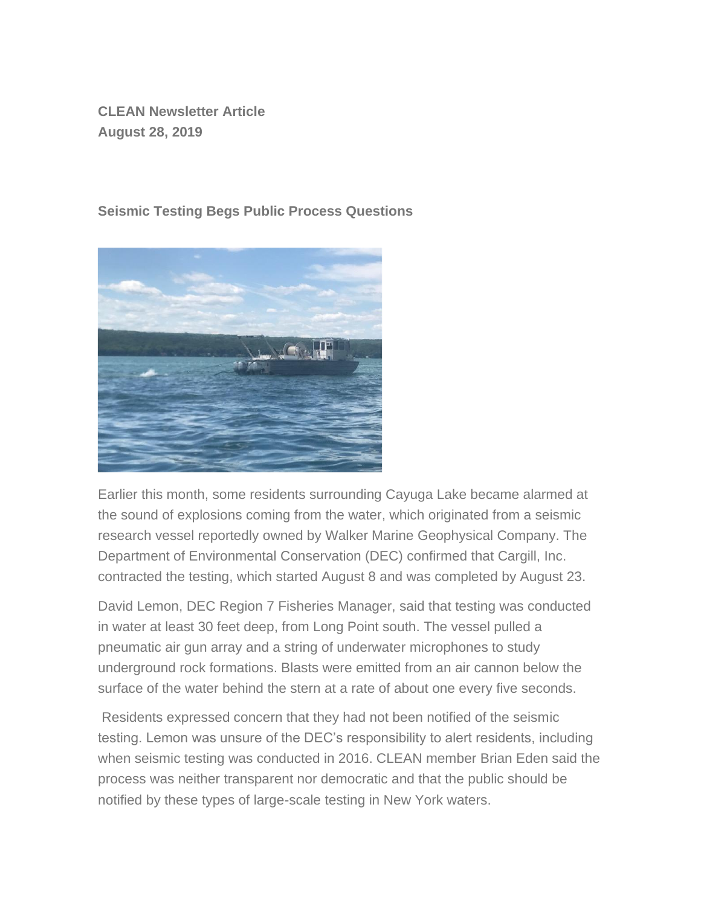**CLEAN Newsletter Article August 28, 2019**

## **Seismic Testing Begs Public Process Questions**



Earlier this month, some residents surrounding Cayuga Lake became alarmed at the sound of explosions coming from the water, which originated from a seismic research vessel reportedly owned by Walker Marine Geophysical Company. The Department of Environmental Conservation (DEC) confirmed that Cargill, Inc. contracted the testing, which started August 8 and was completed by August 23.

David Lemon, DEC Region 7 Fisheries Manager, said that testing was conducted in water at least 30 feet deep, from Long Point south. The vessel pulled a pneumatic air gun array and a string of underwater microphones to study underground rock formations. Blasts were emitted from an air cannon below the surface of the water behind the stern at a rate of about one every five seconds.

Residents expressed concern that they had not been notified of the seismic testing. Lemon was unsure of the DEC's responsibility to alert residents, including when seismic testing was conducted in 2016. CLEAN member Brian Eden said the process was neither transparent nor democratic and that the public should be notified by these types of large-scale testing in New York waters.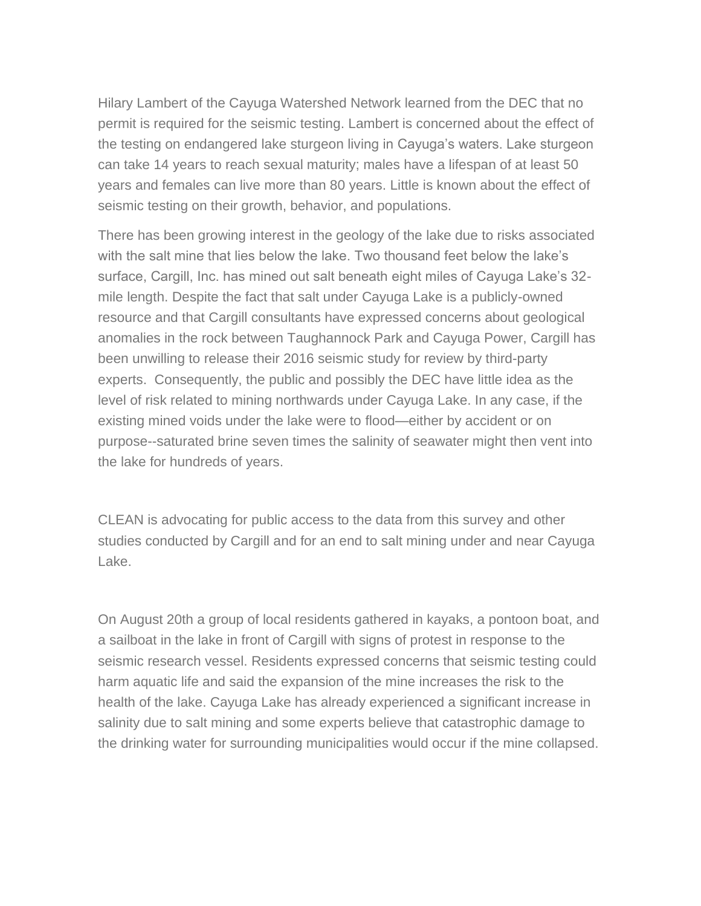Hilary Lambert of the Cayuga Watershed Network learned from the DEC that no permit is required for the seismic testing. Lambert is concerned about the effect of the testing on endangered lake sturgeon living in Cayuga's waters. Lake sturgeon can take 14 years to reach sexual maturity; males have a lifespan of at least 50 years and females can live more than 80 years. Little is known about the effect of seismic testing on their growth, behavior, and populations.

There has been growing interest in the geology of the lake due to risks associated with the salt mine that lies below the lake. Two thousand feet below the lake's surface, Cargill, Inc. has mined out salt beneath eight miles of Cayuga Lake's 32 mile length. Despite the fact that salt under Cayuga Lake is a publicly-owned resource and that Cargill consultants have expressed concerns about geological anomalies in the rock between Taughannock Park and Cayuga Power, Cargill has been unwilling to release their 2016 seismic study for review by third-party experts. Consequently, the public and possibly the DEC have little idea as the level of risk related to mining northwards under Cayuga Lake. In any case, if the existing mined voids under the lake were to flood—either by accident or on purpose--saturated brine seven times the salinity of seawater might then vent into the lake for hundreds of years.

CLEAN is advocating for public access to the data from this survey and other studies conducted by Cargill and for an end to salt mining under and near Cayuga Lake.

On August 20th a group of local residents gathered in kayaks, a pontoon boat, and a sailboat in the lake in front of Cargill with signs of protest in response to the seismic research vessel. Residents expressed concerns that seismic testing could harm aquatic life and said the expansion of the mine increases the risk to the health of the lake. Cayuga Lake has already experienced a significant increase in salinity due to salt mining and some experts believe that catastrophic damage to the drinking water for surrounding municipalities would occur if the mine collapsed.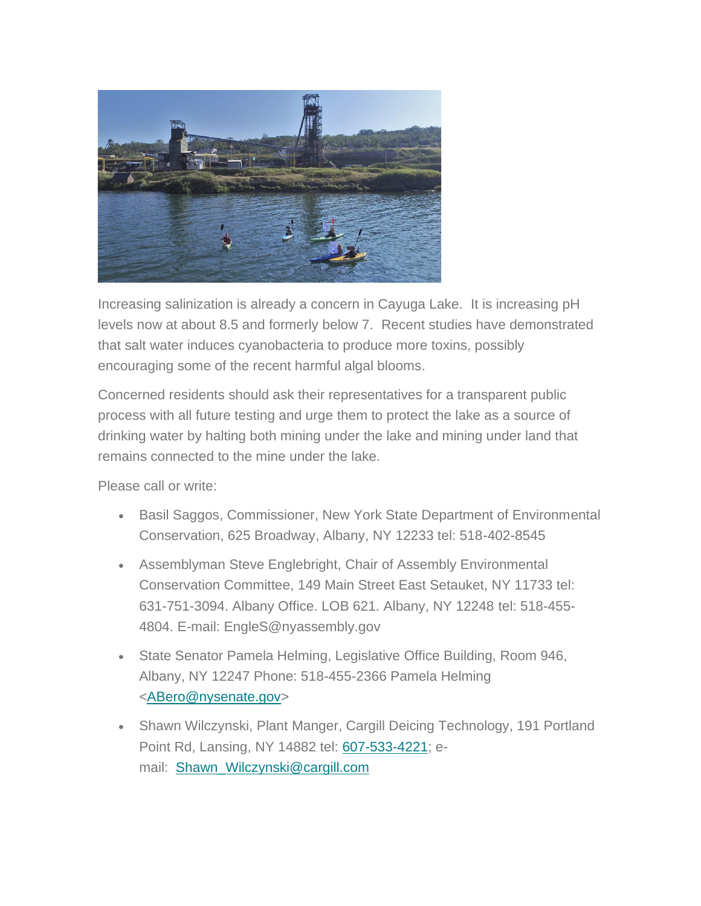

Increasing salinization is already a concern in Cayuga Lake. It is increasing pH levels now at about 8.5 and formerly below 7. Recent studies have demonstrated that salt water induces cyanobacteria to produce more toxins, possibly encouraging some of the recent harmful algal blooms.

Concerned residents should ask their representatives for a transparent public process with all future testing and urge them to protect the lake as a source of drinking water by halting both mining under the lake and mining under land that remains connected to the mine under the lake.

Please call or write:

- Basil Saggos, Commissioner, New York State Department of Environmental Conservation, 625 Broadway, Albany, NY 12233 tel: 518-402-8545
- Assemblyman Steve Englebright, Chair of Assembly Environmental Conservation Committee, 149 Main Street East Setauket, NY 11733 tel: 631-751-3094. Albany Office. LOB 621. Albany, NY 12248 tel: 518-455- 4804. E-mail: EngleS@nyassembly.gov
- State Senator Pamela Helming, Legislative Office Building, Room 946, Albany, NY 12247 Phone: 518-455-2366 Pamela Helming [<ABero@nysenate.gov>](mailto:ABero@nysenate.gov)
- Shawn Wilczynski, Plant Manger, Cargill Deicing Technology, 191 Portland Point Rd, Lansing, NY 14882 tel: [607-533-4221;](https://hangouts.google.com/?action=chat&pn=%2B16075334221&hl=en&authuser=0) email: [Shawn\\_Wilczynski@cargill.com](mailto:Shawn_Wilczynski@cargill.com)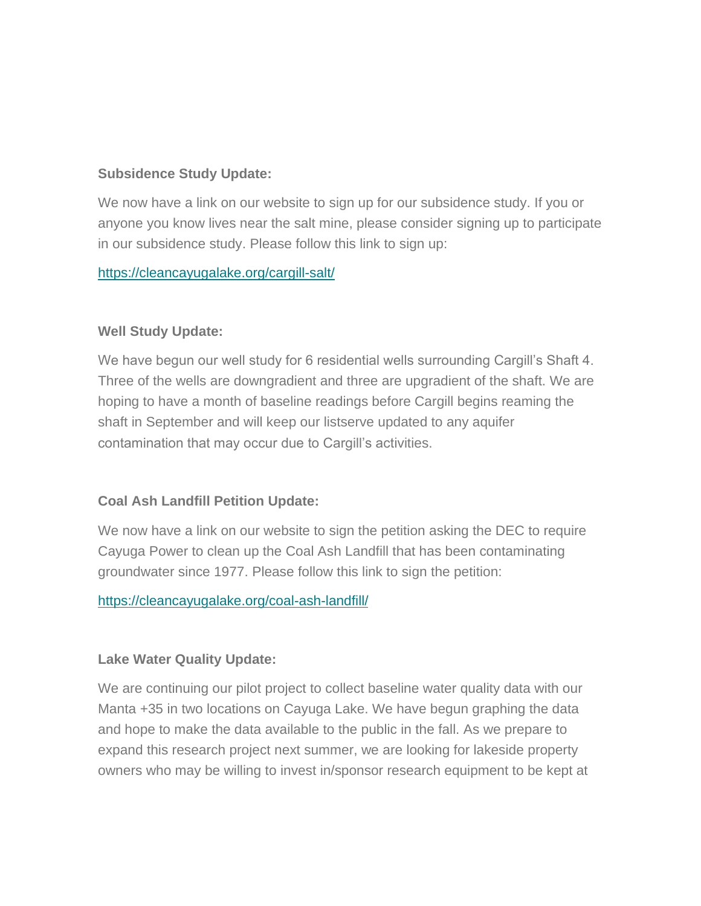## **Subsidence Study Update:**

We now have a link on our website to sign up for our subsidence study. If you or anyone you know lives near the salt mine, please consider signing up to participate in our subsidence study. Please follow this link to sign up:

<https://cleancayugalake.org/cargill-salt/>

#### **Well Study Update:**

We have begun our well study for 6 residential wells surrounding Cargill's Shaft 4. Three of the wells are downgradient and three are upgradient of the shaft. We are hoping to have a month of baseline readings before Cargill begins reaming the shaft in September and will keep our listserve updated to any aquifer contamination that may occur due to Cargill's activities.

## **Coal Ash Landfill Petition Update:**

We now have a link on our website to sign the petition asking the DEC to require Cayuga Power to clean up the Coal Ash Landfill that has been contaminating groundwater since 1977. Please follow this link to sign the petition:

#### <https://cleancayugalake.org/coal-ash-landfill/>

#### **Lake Water Quality Update:**

We are continuing our pilot project to collect baseline water quality data with our Manta +35 in two locations on Cayuga Lake. We have begun graphing the data and hope to make the data available to the public in the fall. As we prepare to expand this research project next summer, we are looking for lakeside property owners who may be willing to invest in/sponsor research equipment to be kept at